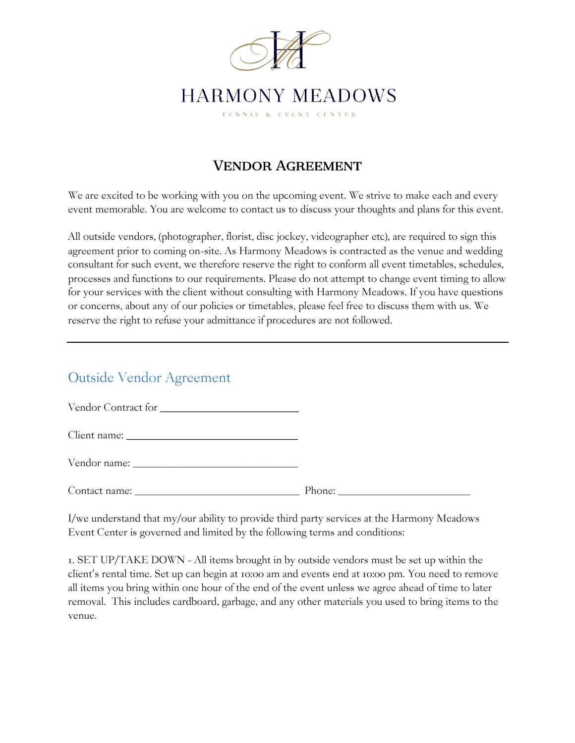

## Vendor Agreement

We are excited to be working with you on the upcoming event. We strive to make each and every event memorable. You are welcome to contact us to discuss your thoughts and plans for this event.

All outside vendors, (photographer, florist, disc jockey, videographer etc), are required to sign this agreement prior to coming on-site. As Harmony Meadows is contracted as the venue and wedding consultant for such event, we therefore reserve the right to conform all event timetables, schedules, processes and functions to our requirements. Please do not attempt to change event timing to allow for your services with the client without consulting with Harmony Meadows. If you have questions or concerns, about any of our policies or timetables, please feel free to discuss them with us. We reserve the right to refuse your admittance if procedures are not followed.

## Outside Vendor Agreement

Vendor Contract for

Client name:

Vendor name: \_\_\_\_\_\_\_\_\_\_\_\_\_\_\_\_\_\_\_\_\_\_\_\_\_

Contact name:

I/we understand that my/our ability to provide third party services at the Harmony Meadows Event Center is governed and limited by the following terms and conditions:

1. SET UP/TAKE DOWN - All items brought in by outside vendors must be set up within the client's rental time. Set up can begin at 10:00 am and events end at 10:00 pm. You need to remove all items you bring within one hour of the end of the event unless we agree ahead of time to later removal. This includes cardboard, garbage, and any other materials you used to bring items to the venue.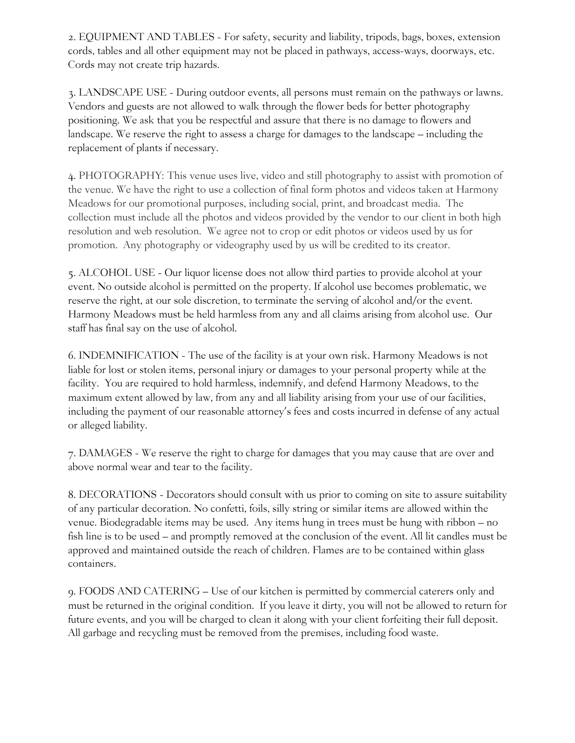2. EQUIPMENT AND TABLES - For safety, security and liability, tripods, bags, boxes, extension cords, tables and all other equipment may not be placed in pathways, access-ways, doorways, etc. Cords may not create trip hazards.

3. LANDSCAPE USE - During outdoor events, all persons must remain on the pathways or lawns. Vendors and guests are not allowed to walk through the flower beds for better photography positioning. We ask that you be respectful and assure that there is no damage to flowers and landscape. We reserve the right to assess a charge for damages to the landscape – including the replacement of plants if necessary.

4. PHOTOGRAPHY: This venue uses live, video and still photography to assist with promotion of the venue. We have the right to use a collection of final form photos and videos taken at Harmony Meadows for our promotional purposes, including social, print, and broadcast media. The collection must include all the photos and videos provided by the vendor to our client in both high resolution and web resolution. We agree not to crop or edit photos or videos used by us for promotion. Any photography or videography used by us will be credited to its creator.

5. ALCOHOL USE - Our liquor license does not allow third parties to provide alcohol at your event. No outside alcohol is permitted on the property. If alcohol use becomes problematic, we reserve the right, at our sole discretion, to terminate the serving of alcohol and/or the event. Harmony Meadows must be held harmless from any and all claims arising from alcohol use. Our staff has final say on the use of alcohol.

6. INDEMNIFICATION - The use of the facility is at your own risk. Harmony Meadows is not liable for lost or stolen items, personal injury or damages to your personal property while at the facility. You are required to hold harmless, indemnify, and defend Harmony Meadows, to the maximum extent allowed by law, from any and all liability arising from your use of our facilities, including the payment of our reasonable attorney's fees and costs incurred in defense of any actual or alleged liability.

7. DAMAGES - We reserve the right to charge for damages that you may cause that are over and above normal wear and tear to the facility.

8. DECORATIONS - Decorators should consult with us prior to coming on site to assure suitability of any particular decoration. No confetti, foils, silly string or similar items are allowed within the venue. Biodegradable items may be used. Any items hung in trees must be hung with ribbon – no fish line is to be used – and promptly removed at the conclusion of the event. All lit candles must be approved and maintained outside the reach of children. Flames are to be contained within glass containers.

9. FOODS AND CATERING – Use of our kitchen is permitted by commercial caterers only and must be returned in the original condition. If you leave it dirty, you will not be allowed to return for future events, and you will be charged to clean it along with your client forfeiting their full deposit. All garbage and recycling must be removed from the premises, including food waste.